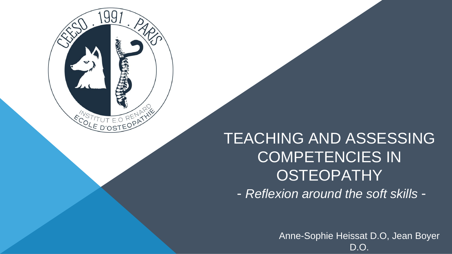

# TEACHING AND ASSESSING COMPETENCIES IN **OSTEOPATHY** - *Reflexion around the soft skills* -

Anne-Sophie Heissat D.O, Jean Boyer D.O.



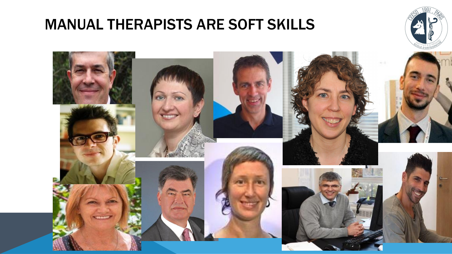# MANUAL THERAPISTS ARE SOFT SKILLS



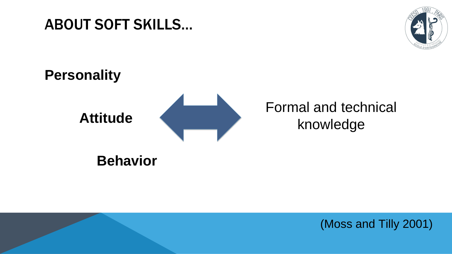# ABOUT SOFT SKILLS…

# **Personality**

# **Attitude**



# **Behavior**



(Moss and Tilly 2001)



# Formal and technical knowledge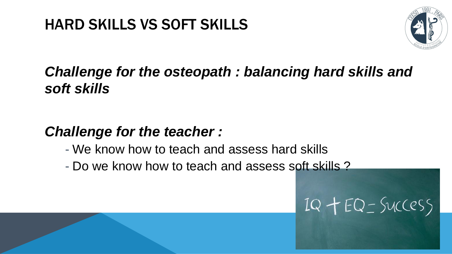# *Challenge for the osteopath : balancing hard skills and soft skills*

# *Challenge for the teacher :*

- We know how to teach and assess hard skills

- Do we know how to teach and assess soft skills ?



# $IQ + EQ - SUCCSS$



# HARD SKILLS VS SOFT SKILLS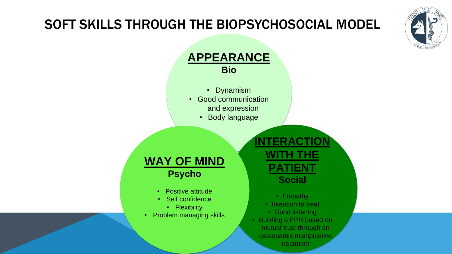# SOFT SKILLS THROUGH THE BIOPSYCHOSOCIAL MODEL

- 
- 

#### **APPEARANCE Bio**

• Dynamism • Good communication and expression • Body language

### **INTERACTION WITH THE PATIENT Social**

• Empathy • Intention to treat Good listening • Building a PPR based on mutual trust through an osteopathic manipulative treatment

- **WAY OF MIND Psycho**
	- Positive attitude
	- Self confidence
		- Flexibility
- Problem managing skills

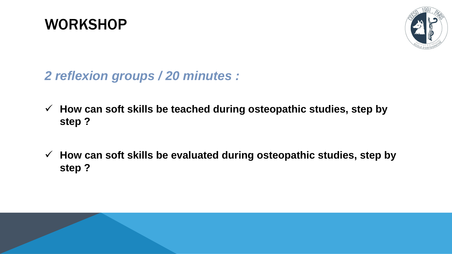# WORKSHOP

# *2 reflexion groups / 20 minutes :*

### **How can soft skills be teached during osteopathic studies, step by**

- **step ?**
- **step ?**



### **How can soft skills be evaluated during osteopathic studies, step by**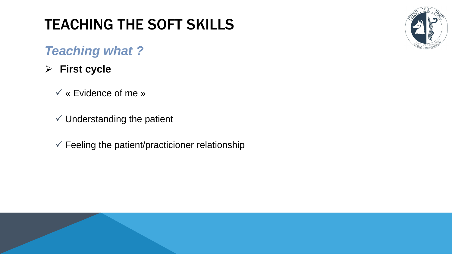# TEACHING THE SOFT SKILLS

## *Teaching what ?*

### **First cycle**

« Evidence of me »

- $\checkmark$  Understanding the patient
- $\checkmark$  Feeling the patient/practicioner relationship

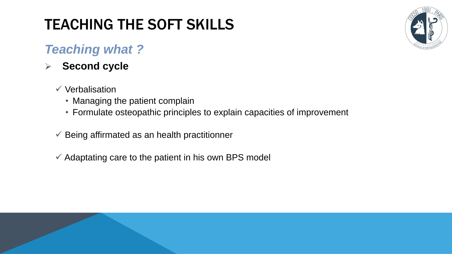# TEACHING THE SOFT SKILLS

# *Teaching what ?*

### **Second cycle**

#### $\checkmark$  Verbalisation

- Managing the patient complain
- Formulate osteopathic principles to explain capacities of improvement

#### $\checkmark$  Being affirmated as an health practitionner

 $\checkmark$  Adaptating care to the patient in his own BPS model

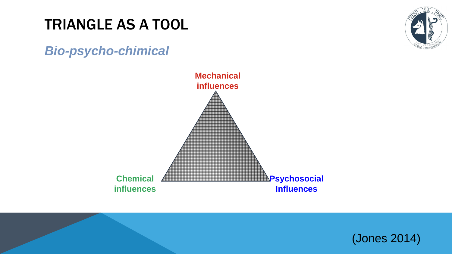# TRIANGLE AS A TOOL

### *Bio-psycho-chimical*



# **Psychosocial Influences Mechanical influences**

#### **Chemical influences**



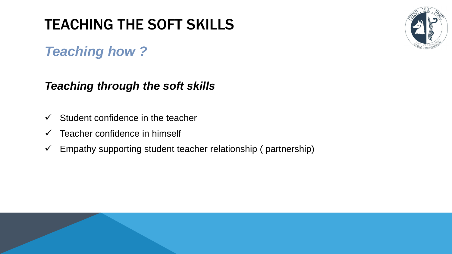# TEACHING THE SOFT SKILLS

# *Teaching how ?*

# *Teaching through the soft skills*

- $\checkmark$  Student confidence in the teacher
- $\checkmark$  Teacher confidence in himself
- $\checkmark$  Empathy supporting student teacher relationship (partnership)

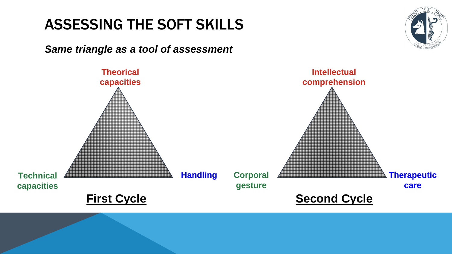# ASSESSING THE SOFT SKILLS

#### *Same triangle as a tool of assessment*





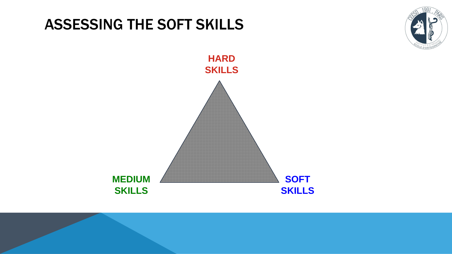# ASSESSING THE SOFT SKILLS







![](_page_11_Picture_3.jpeg)

![](_page_11_Picture_4.jpeg)

![](_page_11_Picture_5.jpeg)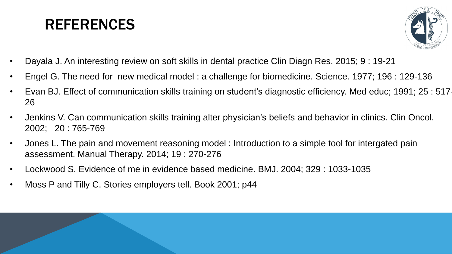# REFERENCES

- Dayala J. An interesting review on soft skills in dental practice Clin Diagn Res. 2015; 9 : 19-21 • Engel G. The need for new medical model : a challenge for biomedicine. Science. 1977; 196 : 129-136
- 
- Evan BJ. Effect of communication skills training on student's diagnostic efficiency. Med educ; 1991; 25 : 517- 26
- Jenkins V. Can communication skills training alter physician's beliefs and behavior in clinics. Clin Oncol. 2002; 20 : 765-769
- Jones L. The pain and movement reasoning model : Introduction to a simple tool for intergated pain assessment. Manual Therapy. 2014; 19 : 270-276
- Lockwood S. Evidence of me in evidence based medicine. BMJ. 2004; 329 : 1033-1035
- Moss P and Tilly C. Stories employers tell. Book 2001; p44

![](_page_12_Picture_8.jpeg)

![](_page_12_Picture_9.jpeg)

![](_page_12_Picture_10.jpeg)

![](_page_12_Picture_11.jpeg)